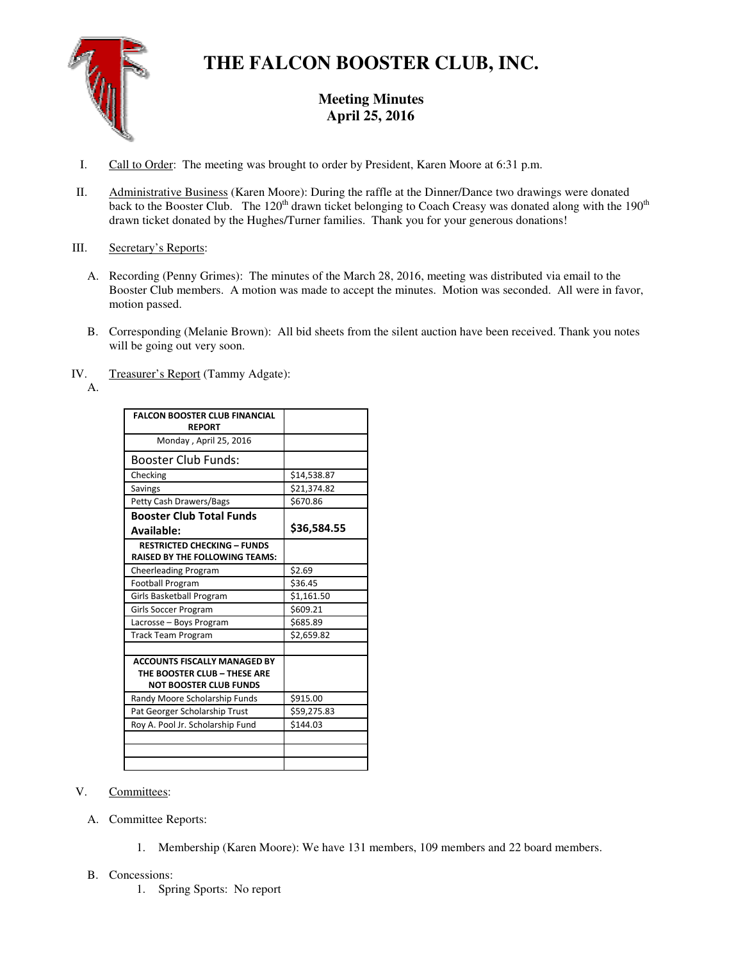

# **THE FALCON BOOSTER CLUB, INC.**

## **Meeting Minutes**  April 25, 2016

- I. Call to Order: The meeting was brought to order by President, Karen Moore at 6:31 p.m.
- II. Administrative Business (Karen Moore): During the raffle at the Dinner/Dance two drawings were donated back to the Booster Club. The 120<sup>th</sup> drawn ticket belonging to Coach Creasy was donated along with the 190<sup>th</sup> drawn ticket donated by the Hughes/Turner families. Thank you for your generous donations!

### III. Secretary's Reports:

- A. Recording (Penny Grimes): The minutes of the March 28, 2016, meeting was distributed via email to the Booster Club members. A motion was made to accept the minutes. Motion was seconded. All were in favor, motion passed.
- B. Corresponding (Melanie Brown): All bid sheets from the silent auction have been received. Thank you notes will be going out very soon.
- IV. Treasurer's Report (Tammy Adgate):
	- A.

| <b>FALCON BOOSTER CLUB FINANCIAL</b><br><b>REPORT</b>                                                |             |
|------------------------------------------------------------------------------------------------------|-------------|
| Monday, April 25, 2016                                                                               |             |
| <b>Booster Club Funds:</b>                                                                           |             |
| Checking                                                                                             | \$14,538.87 |
| Savings                                                                                              | \$21,374.82 |
| Petty Cash Drawers/Bags                                                                              | \$670.86    |
| <b>Booster Club Total Funds</b>                                                                      |             |
| Available:                                                                                           | \$36,584.55 |
| <b>RESTRICTED CHECKING - FUNDS</b><br><b>RAISED BY THE FOLLOWING TEAMS:</b>                          |             |
| <b>Cheerleading Program</b>                                                                          | \$2.69      |
| <b>Football Program</b>                                                                              | \$36.45     |
| Girls Basketball Program                                                                             | \$1,161.50  |
| Girls Soccer Program                                                                                 | \$609.21    |
| Lacrosse - Boys Program                                                                              | \$685.89    |
| <b>Track Team Program</b>                                                                            | \$2,659.82  |
|                                                                                                      |             |
| <b>ACCOUNTS FISCALLY MANAGED BY</b><br>THE BOOSTER CLUB - THESE ARE<br><b>NOT BOOSTER CLUB FUNDS</b> |             |
| Randy Moore Scholarship Funds                                                                        | \$915.00    |
| Pat Georger Scholarship Trust                                                                        | \$59,275.83 |
| Roy A. Pool Jr. Scholarship Fund                                                                     | \$144.03    |
|                                                                                                      |             |
|                                                                                                      |             |

- V. Committees:
	- A. Committee Reports:
		- 1. Membership (Karen Moore): We have 131 members, 109 members and 22 board members.

#### B. Concessions:

1. Spring Sports: No report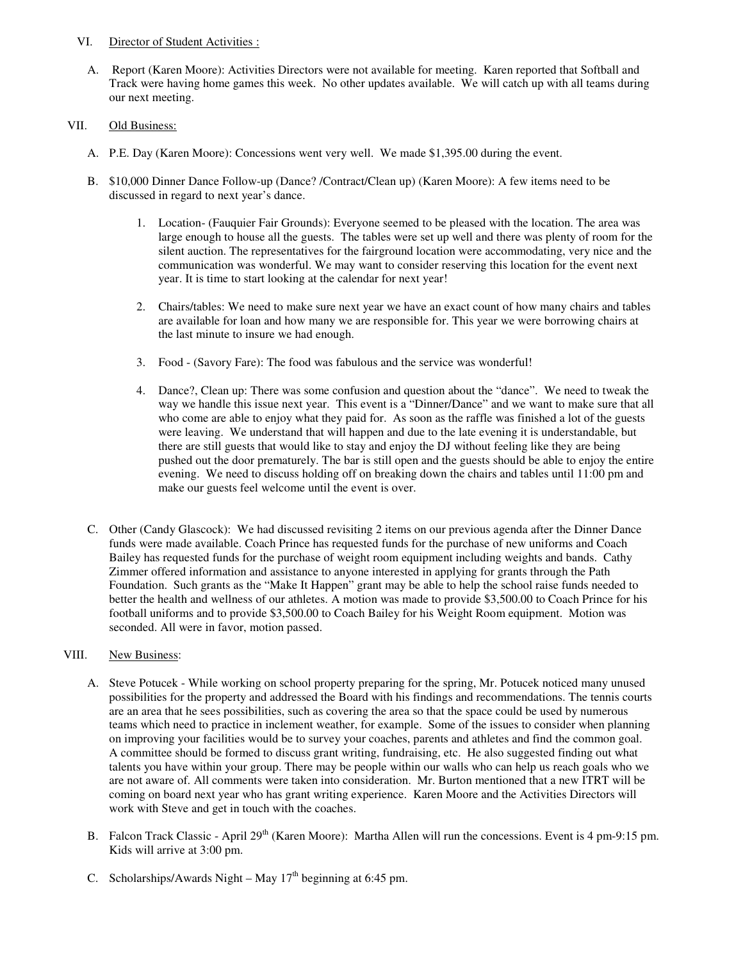#### VI. Director of Student Activities :

A. Report (Karen Moore): Activities Directors were not available for meeting. Karen reported that Softball and Track were having home games this week. No other updates available. We will catch up with all teams during our next meeting.

#### VII. Old Business:

- A. P.E. Day (Karen Moore): Concessions went very well. We made \$1,395.00 during the event.
- B. \$10,000 Dinner Dance Follow-up (Dance? /Contract/Clean up) (Karen Moore): A few items need to be discussed in regard to next year's dance.
	- 1. Location- (Fauquier Fair Grounds): Everyone seemed to be pleased with the location. The area was large enough to house all the guests. The tables were set up well and there was plenty of room for the silent auction. The representatives for the fairground location were accommodating, very nice and the communication was wonderful. We may want to consider reserving this location for the event next year. It is time to start looking at the calendar for next year!
	- 2. Chairs/tables: We need to make sure next year we have an exact count of how many chairs and tables are available for loan and how many we are responsible for. This year we were borrowing chairs at the last minute to insure we had enough.
	- 3. Food (Savory Fare): The food was fabulous and the service was wonderful!
	- 4. Dance?, Clean up: There was some confusion and question about the "dance". We need to tweak the way we handle this issue next year. This event is a "Dinner/Dance" and we want to make sure that all who come are able to enjoy what they paid for. As soon as the raffle was finished a lot of the guests were leaving. We understand that will happen and due to the late evening it is understandable, but there are still guests that would like to stay and enjoy the DJ without feeling like they are being pushed out the door prematurely. The bar is still open and the guests should be able to enjoy the entire evening. We need to discuss holding off on breaking down the chairs and tables until 11:00 pm and make our guests feel welcome until the event is over.
- C. Other (Candy Glascock): We had discussed revisiting 2 items on our previous agenda after the Dinner Dance funds were made available. Coach Prince has requested funds for the purchase of new uniforms and Coach Bailey has requested funds for the purchase of weight room equipment including weights and bands. Cathy Zimmer offered information and assistance to anyone interested in applying for grants through the Path Foundation. Such grants as the "Make It Happen" grant may be able to help the school raise funds needed to better the health and wellness of our athletes. A motion was made to provide \$3,500.00 to Coach Prince for his football uniforms and to provide \$3,500.00 to Coach Bailey for his Weight Room equipment. Motion was seconded. All were in favor, motion passed.

#### VIII. New Business:

- A. Steve Potucek While working on school property preparing for the spring, Mr. Potucek noticed many unused possibilities for the property and addressed the Board with his findings and recommendations. The tennis courts are an area that he sees possibilities, such as covering the area so that the space could be used by numerous teams which need to practice in inclement weather, for example. Some of the issues to consider when planning on improving your facilities would be to survey your coaches, parents and athletes and find the common goal. A committee should be formed to discuss grant writing, fundraising, etc. He also suggested finding out what talents you have within your group. There may be people within our walls who can help us reach goals who we are not aware of. All comments were taken into consideration. Mr. Burton mentioned that a new ITRT will be coming on board next year who has grant writing experience. Karen Moore and the Activities Directors will work with Steve and get in touch with the coaches.
- B. Falcon Track Classic April 29<sup>th</sup> (Karen Moore): Martha Allen will run the concessions. Event is 4 pm-9:15 pm. Kids will arrive at 3:00 pm.
- C. Scholarships/Awards Night May  $17<sup>th</sup>$  beginning at 6:45 pm.